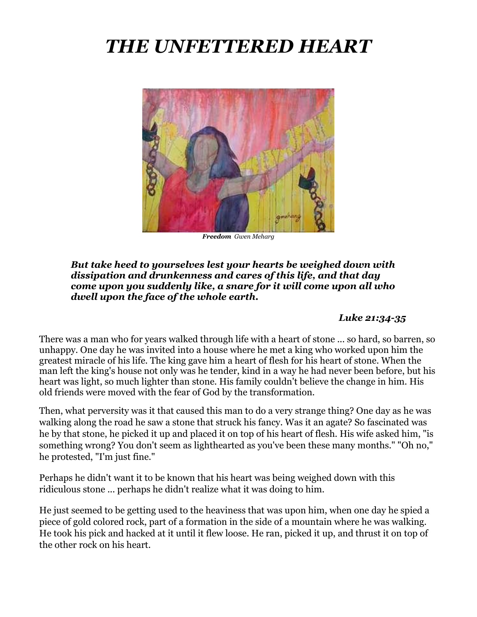# *THE UNFETTERED HEART*



*Freedom Gwen Meharg*

#### *But take heed to yourselves lest your hearts be weighed down with dissipation and drunkenness and cares of this life, and that day come upon you suddenly like, a snare for it will come upon all who dwell upon the face of the whole earth.*

### *Luke 21:34-35*

There was a man who for years walked through life with a heart of stone ... so hard, so barren, so unhappy. One day he was invited into a house where he met a king who worked upon him the greatest miracle of his life. The king gave him a heart of flesh for his heart of stone. When the man left the king's house not only was he tender, kind in a way he had never been before, but his heart was light, so much lighter than stone. His family couldn't believe the change in him. His old friends were moved with the fear of God by the transformation.

Then, what perversity was it that caused this man to do a very strange thing? One day as he was walking along the road he saw a stone that struck his fancy. Was it an agate? So fascinated was he by that stone, he picked it up and placed it on top of his heart of flesh. His wife asked him, "is something wrong? You don't seem as lighthearted as you've been these many months." "Oh no," he protested, "I'm just fine."

Perhaps he didn't want it to be known that his heart was being weighed down with this ridiculous stone ... perhaps he didn't realize what it was doing to him.

He just seemed to be getting used to the heaviness that was upon him, when one day he spied a piece of gold colored rock, part of a formation in the side of a mountain where he was walking. He took his pick and hacked at it until it flew loose. He ran, picked it up, and thrust it on top of the other rock on his heart.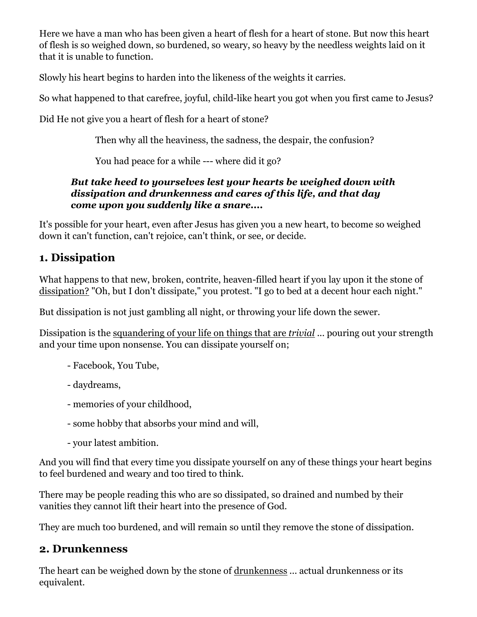Here we have a man who has been given a heart of flesh for a heart of stone. But now this heart of flesh is so weighed down, so burdened, so weary, so heavy by the needless weights laid on it that it is unable to function.

Slowly his heart begins to harden into the likeness of the weights it carries.

So what happened to that carefree, joyful, child-like heart you got when you first came to Jesus?

Did He not give you a heart of flesh for a heart of stone?

Then why all the heaviness, the sadness, the despair, the confusion?

You had peace for a while --- where did it go?

## *But take heed to yourselves lest your hearts be weighed down with dissipation and drunkenness and cares of this life, and that day come upon you suddenly like a snare....*

It's possible for your heart, even after Jesus has given you a new heart, to become so weighed down it can't function, can't rejoice, can't think, or see, or decide.

# **1. Dissipation**

What happens to that new, broken, contrite, heaven-filled heart if you lay upon it the stone of dissipation? "Oh, but I don't dissipate," you protest. "I go to bed at a decent hour each night."

But dissipation is not just gambling all night, or throwing your life down the sewer.

Dissipation is the squandering of your life on things that are *trivial* ... pouring out your strength and your time upon nonsense. You can dissipate yourself on;

- Facebook, You Tube,
- daydreams,
- memories of your childhood,
- some hobby that absorbs your mind and will,
- your latest ambition.

And you will find that every time you dissipate yourself on any of these things your heart begins to feel burdened and weary and too tired to think.

There may be people reading this who are so dissipated, so drained and numbed by their vanities they cannot lift their heart into the presence of God.

They are much too burdened, and will remain so until they remove the stone of dissipation.

# **2. Drunkenness**

The heart can be weighed down by the stone of drunkenness ... actual drunkenness or its equivalent.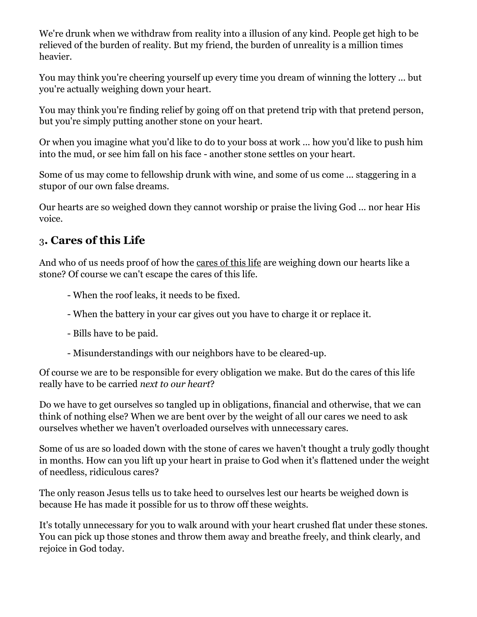We're drunk when we withdraw from reality into a illusion of any kind. People get high to be relieved of the burden of reality. But my friend, the burden of unreality is a million times heavier.

You may think you're cheering yourself up every time you dream of winning the lottery ... but you're actually weighing down your heart.

You may think you're finding relief by going off on that pretend trip with that pretend person, but you're simply putting another stone on your heart.

Or when you imagine what you'd like to do to your boss at work ... how you'd like to push him into the mud, or see him fall on his face - another stone settles on your heart.

Some of us may come to fellowship drunk with wine, and some of us come ... staggering in a stupor of our own false dreams.

Our hearts are so weighed down they cannot worship or praise the living God ... nor hear His voice.

# 3**. Cares of this Life**

And who of us needs proof of how the cares of this life are weighing down our hearts like a stone? Of course we can't escape the cares of this life.

- When the roof leaks, it needs to be fixed.
- When the battery in your car gives out you have to charge it or replace it.
- Bills have to be paid.
- Misunderstandings with our neighbors have to be cleared-up.

Of course we are to be responsible for every obligation we make. But do the cares of this life really have to be carried *next to our heart*?

Do we have to get ourselves so tangled up in obligations, financial and otherwise, that we can think of nothing else? When we are bent over by the weight of all our cares we need to ask ourselves whether we haven't overloaded ourselves with unnecessary cares.

Some of us are so loaded down with the stone of cares we haven't thought a truly godly thought in months. How can you lift up your heart in praise to God when it's flattened under the weight of needless, ridiculous cares?

The only reason Jesus tells us to take heed to ourselves lest our hearts be weighed down is because He has made it possible for us to throw off these weights.

It's totally unnecessary for you to walk around with your heart crushed flat under these stones. You can pick up those stones and throw them away and breathe freely, and think clearly, and rejoice in God today.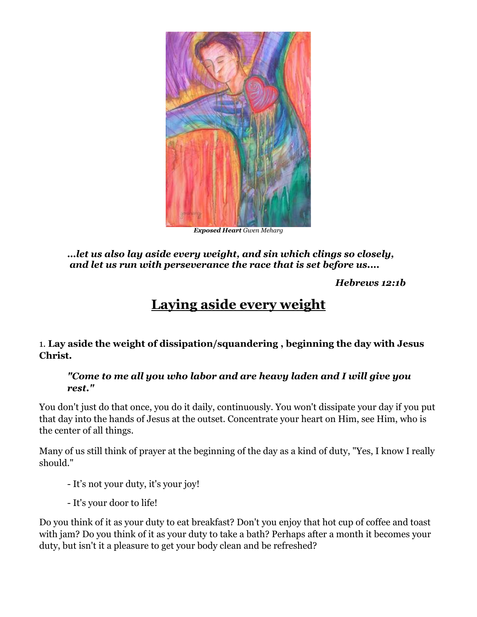

*Exposed Heart Gwen Meharg*

*…let us also lay aside every weight, and sin which clings so closely, and let us run with perseverance the race that is set before us....* 

*Hebrews 12:1b*

# **Laying aside every weight**

1. **Lay aside the weight of dissipation/squandering , beginning the day with Jesus Christ.**

### *"Come to me all you who labor and are heavy laden and I will give you rest."*

You don't just do that once, you do it daily, continuously. You won't dissipate your day if you put that day into the hands of Jesus at the outset. Concentrate your heart on Him, see Him, who is the center of all things.

Many of us still think of prayer at the beginning of the day as a kind of duty, "Yes, I know I really should."

- It's not your duty, it's your joy!

- It's your door to life!

Do you think of it as your duty to eat breakfast? Don't you enjoy that hot cup of coffee and toast with jam? Do you think of it as your duty to take a bath? Perhaps after a month it becomes your duty, but isn't it a pleasure to get your body clean and be refreshed?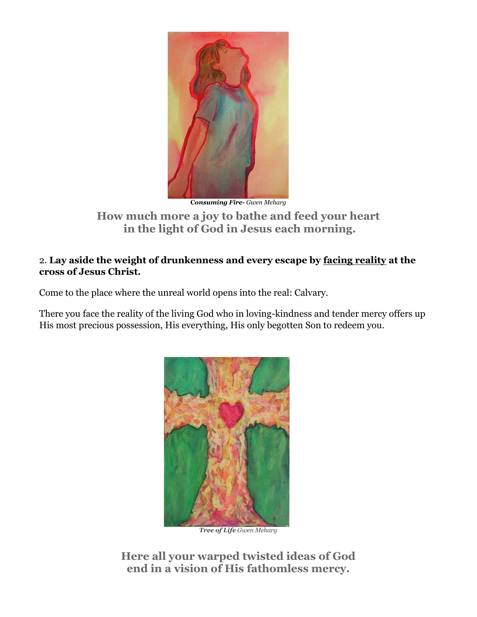

**C***onsuming Fire- Gwen Meharg*

### **How much more a joy to bathe and feed your heart in the light of God in Jesus each morning.**

### 2. **Lay aside the weight of drunkenness and every escape by facing reality at the cross of Jesus Christ.**

Come to the place where the unreal world opens into the real: Calvary.

There you face the reality of the living God who in loving-kindness and tender mercy offers up His most precious possession, His everything, His only begotten Son to redeem you.



*Tree of Life Gwen Meharg*

**Here all your warped twisted ideas of God end in a vision of His fathomless mercy.**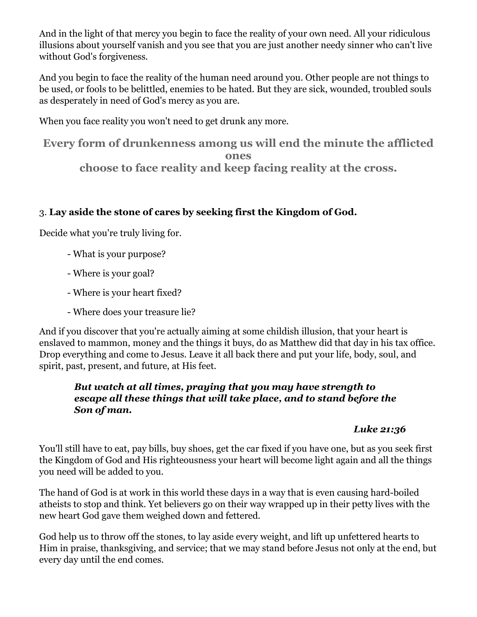And in the light of that mercy you begin to face the reality of your own need. All your ridiculous illusions about yourself vanish and you see that you are just another needy sinner who can't live without God's forgiveness.

And you begin to face the reality of the human need around you. Other people are not things to be used, or fools to be belittled, enemies to be hated. But they are sick, wounded, troubled souls as desperately in need of God's mercy as you are.

When you face reality you won't need to get drunk any more.

**Every form of drunkenness among us will end the minute the afflicted ones choose to face reality and keep facing reality at the cross.**

## 3. **Lay aside the stone of cares by seeking first the Kingdom of God.**

Decide what you're truly living for.

- What is your purpose?
- Where is your goal?
- Where is your heart fixed?
- Where does your treasure lie?

And if you discover that you're actually aiming at some childish illusion, that your heart is enslaved to mammon, money and the things it buys, do as Matthew did that day in his tax office. Drop everything and come to Jesus. Leave it all back there and put your life, body, soul, and spirit, past, present, and future, at His feet.

### *But watch at all times, praying that you may have strength to escape all these things that will take place, and to stand before the Son of man.*

# *Luke 21:36*

You'll still have to eat, pay bills, buy shoes, get the car fixed if you have one, but as you seek first the Kingdom of God and His righteousness your heart will become light again and all the things you need will be added to you.

The hand of God is at work in this world these days in a way that is even causing hard-boiled atheists to stop and think. Yet believers go on their way wrapped up in their petty lives with the new heart God gave them weighed down and fettered.

God help us to throw off the stones, to lay aside every weight, and lift up unfettered hearts to Him in praise, thanksgiving, and service; that we may stand before Jesus not only at the end, but every day until the end comes.